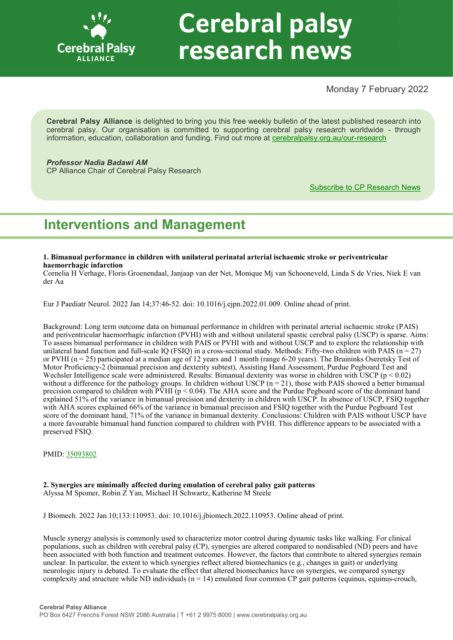

# **Cerebral palsy** research news

# Monday 7 February 2022

**Cerebral Palsy Alliance** is delighted to bring you this free weekly bulletin of the latest published research into cerebral palsy. Our organisation is committed to supporting cerebral palsy research worldwide - through information, education, collaboration and funding. Find out more at [cerebralpalsy.org.au/our](https://cerebralpalsy.org.au/our-research/)-research

# *Professor Nadia Badawi AM*

CP Alliance Chair of Cerebral Palsy Research

[Subscribe to CP Research News](https://cerebralpalsy.org.au/our-research/get-involved-research/cp-research-newsletters/)

# **Interventions and Management**

#### **1. Bimanual performance in children with unilateral perinatal arterial ischaemic stroke or periventricular haemorrhagic infarction**

Cornelia H Verhage, Floris Groenendaal, Janjaap van der Net, Monique Mj van Schooneveld, Linda S de Vries, Niek E van der Aa

Eur J Paediatr Neurol. 2022 Jan 14;37:46-52. doi: 10.1016/j.ejpn.2022.01.009. Online ahead of print.

Background: Long term outcome data on bimanual performance in children with perinatal arterial ischaemic stroke (PAIS) and periventricular haemorrhagic infarction (PVHI) with and without unilateral spastic cerebral palsy (USCP) is sparse. Aims: To assess bimanual performance in children with PAIS or PVHI with and without USCP and to explore the relationship with unilateral hand function and full-scale IQ (FSIQ) in a cross-sectional study. Methods: Fifty-two children with PAIS ( $n = 27$ ) or PVHI ( $n = 25$ ) participated at a median age of 12 years and 1 month (range 6-20 years). The Bruininks Oseretsky Test of Motor Proficiency-2 (bimanual precision and dexterity subtest), Assisting Hand Assessment, Purdue Pegboard Test and Wechsler Intelligence scale were administered. Results: Bimanual dexterity was worse in children with USCP (p < 0.02) without a difference for the pathology groups. In children without USCP  $(n = 21)$ , those with PAIS showed a better bimanual precision compared to children with PVHI ( $p$  < 0.04). The AHA score and the Purdue Pegboard score of the dominant hand explained 51% of the variance in bimanual precision and dexterity in children with USCP. In absence of USCP, FSIQ together with AHA scores explained 66% of the variance in bimanual precision and FSIQ together with the Purdue Pegboard Test score of the dominant hand, 71% of the variance in bimanual dexterity. Conclusions: Children with PAIS without USCP have a more favourable bimanual hand function compared to children with PVHI. This difference appears to be associated with a preserved FSIQ.

PMID: [35093802](https://pubmed.ncbi.nlm.nih.gov/35093802)

# **2. Synergies are minimally affected during emulation of cerebral palsy gait patterns** Alyssa M Spomer, Robin Z Yan, Michael H Schwartz, Katherine M Steele

J Biomech. 2022 Jan 10;133:110953. doi: 10.1016/j.jbiomech.2022.110953. Online ahead of print.

Muscle synergy analysis is commonly used to characterize motor control during dynamic tasks like walking. For clinical populations, such as children with cerebral palsy (CP), synergies are altered compared to nondisabled (ND) peers and have been associated with both function and treatment outcomes. However, the factors that contribute to altered synergies remain unclear. In particular, the extent to which synergies reflect altered biomechanics (e.g., changes in gait) or underlying neurologic injury is debated. To evaluate the effect that altered biomechanics have on synergies, we compared synergy complexity and structure while ND individuals ( $n = 14$ ) emulated four common CP gait patterns (equinus, equinus-crouch,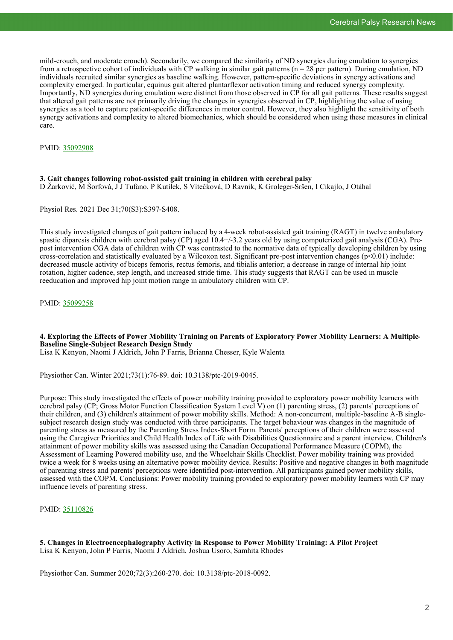mild-crouch, and moderate crouch). Secondarily, we compared the similarity of ND synergies during emulation to synergies from a retrospective cohort of individuals with CP walking in similar gait patterns ( $n = 28$  per pattern). During emulation, ND individuals recruited similar synergies as baseline walking. However, pattern-specific deviations in synergy activations and complexity emerged. In particular, equinus gait altered plantarflexor activation timing and reduced synergy complexity. Importantly, ND synergies during emulation were distinct from those observed in CP for all gait patterns. These results suggest that altered gait patterns are not primarily driving the changes in synergies observed in CP, highlighting the value of using synergies as a tool to capture patient-specific differences in motor control. However, they also highlight the sensitivity of both synergy activations and complexity to altered biomechanics, which should be considered when using these measures in clinical care.

PMID: [35092908](https://pubmed.ncbi.nlm.nih.gov/35092908)

**3. Gait changes following robot-assisted gait training in children with cerebral palsy** D Žarković, M Šorfová, J J Tufano, P Kutílek, S Vítečková, D Ravnik, K Groleger-Sršen, I Cikajlo, J Otáhal

Physiol Res. 2021 Dec 31;70(S3):S397-S408.

This study investigated changes of gait pattern induced by a 4-week robot-assisted gait training (RAGT) in twelve ambulatory spastic diparesis children with cerebral palsy (CP) aged 10.4+/-3.2 years old by using computerized gait analysis (CGA). Prepost intervention CGA data of children with CP was contrasted to the normative data of typically developing children by using cross-correlation and statistically evaluated by a Wilcoxon test. Significant pre-post intervention changes  $(p<0.01)$  include: decreased muscle activity of biceps femoris, rectus femoris, and tibialis anterior; a decrease in range of internal hip joint rotation, higher cadence, step length, and increased stride time. This study suggests that RAGT can be used in muscle reeducation and improved hip joint motion range in ambulatory children with CP.

PMID: [35099258](https://pubmed.ncbi.nlm.nih.gov/35099258)

# **4. Exploring the Effects of Power Mobility Training on Parents of Exploratory Power Mobility Learners: A Multiple-Baseline Single-Subject Research Design Study**

Lisa K Kenyon, Naomi J Aldrich, John P Farris, Brianna Chesser, Kyle Walenta

Physiother Can. Winter 2021;73(1):76-89. doi: 10.3138/ptc-2019-0045.

Purpose: This study investigated the effects of power mobility training provided to exploratory power mobility learners with cerebral palsy (CP; Gross Motor Function Classification System Level V) on (1) parenting stress, (2) parents' perceptions of their children, and (3) children's attainment of power mobility skills. Method: A non-concurrent, multiple-baseline A-B singlesubject research design study was conducted with three participants. The target behaviour was changes in the magnitude of parenting stress as measured by the Parenting Stress Index-Short Form. Parents' perceptions of their children were assessed using the Caregiver Priorities and Child Health Index of Life with Disabilities Questionnaire and a parent interview. Children's attainment of power mobility skills was assessed using the Canadian Occupational Performance Measure (COPM), the Assessment of Learning Powered mobility use, and the Wheelchair Skills Checklist. Power mobility training was provided twice a week for 8 weeks using an alternative power mobility device. Results: Positive and negative changes in both magnitude of parenting stress and parents' perceptions were identified post-intervention. All participants gained power mobility skills, assessed with the COPM. Conclusions: Power mobility training provided to exploratory power mobility learners with CP may influence levels of parenting stress.

PMID: [35110826](https://pubmed.ncbi.nlm.nih.gov/35110826)

**5. Changes in Electroencephalography Activity in Response to Power Mobility Training: A Pilot Project** Lisa K Kenyon, John P Farris, Naomi J Aldrich, Joshua Usoro, Samhita Rhodes

Physiother Can. Summer 2020;72(3):260-270. doi: 10.3138/ptc-2018-0092.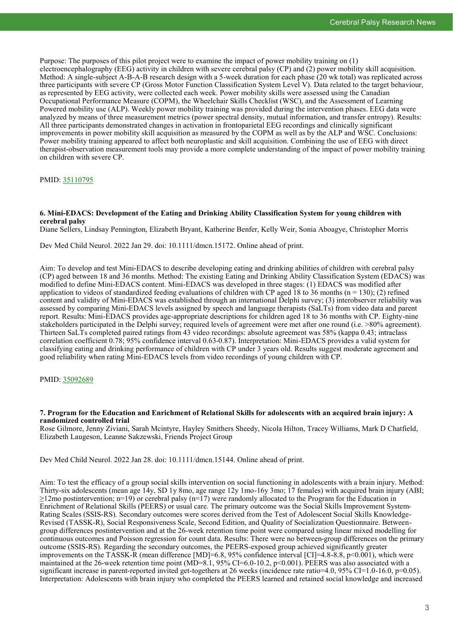Purpose: The purposes of this pilot project were to examine the impact of power mobility training on (1) electroencephalography (EEG) activity in children with severe cerebral palsy (CP) and (2) power mobility skill acquisition. Method: A single-subject A-B-A-B research design with a 5-week duration for each phase (20 wk total) was replicated across three participants with severe CP (Gross Motor Function Classification System Level V). Data related to the target behaviour, as represented by EEG activity, were collected each week. Power mobility skills were assessed using the Canadian Occupational Performance Measure (COPM), the Wheelchair Skills Checklist (WSC), and the Assessment of Learning Powered mobility use (ALP). Weekly power mobility training was provided during the intervention phases. EEG data were analyzed by means of three measurement metrics (power spectral density, mutual information, and transfer entropy). Results: All three participants demonstrated changes in activation in frontoparietal EEG recordings and clinically significant improvements in power mobility skill acquisition as measured by the COPM as well as by the ALP and WSC. Conclusions: Power mobility training appeared to affect both neuroplastic and skill acquisition. Combining the use of EEG with direct therapist-observation measurement tools may provide a more complete understanding of the impact of power mobility training on children with severe CP.

PMID: [35110795](https://pubmed.ncbi.nlm.nih.gov/35110795)

# **6. Mini-EDACS: Development of the Eating and Drinking Ability Classification System for young children with cerebral palsy**

Diane Sellers, Lindsay Pennington, Elizabeth Bryant, Katherine Benfer, Kelly Weir, Sonia Aboagye, Christopher Morris

Dev Med Child Neurol. 2022 Jan 29. doi: 10.1111/dmcn.15172. Online ahead of print.

Aim: To develop and test Mini-EDACS to describe developing eating and drinking abilities of children with cerebral palsy (CP) aged between 18 and 36 months. Method: The existing Eating and Drinking Ability Classification System (EDACS) was modified to define Mini-EDACS content. Mini-EDACS was developed in three stages: (1) EDACS was modified after application to videos of standardized feeding evaluations of children with CP aged 18 to 36 months ( $n = 130$ ); (2) refined content and validity of Mini-EDACS was established through an international Delphi survey; (3) interobserver reliability was assessed by comparing Mini-EDACS levels assigned by speech and language therapists (SaLTs) from video data and parent report. Results: Mini-EDACS provides age-appropriate descriptions for children aged 18 to 36 months with CP. Eighty-nine stakeholders participated in the Delphi survey; required levels of agreement were met after one round (i.e. >80% agreement). Thirteen SaLTs completed paired ratings from 43 video recordings: absolute agreement was 58% (kappa 0.43; intraclass correlation coefficient 0.78; 95% confidence interval 0.63-0.87). Interpretation: Mini-EDACS provides a valid system for classifying eating and drinking performance of children with CP under 3 years old. Results suggest moderate agreement and good reliability when rating Mini-EDACS levels from video recordings of young children with CP.

PMID: [35092689](https://pubmed.ncbi.nlm.nih.gov/35092689)

# **7. Program for the Education and Enrichment of Relational Skills for adolescents with an acquired brain injury: A randomized controlled trial**

Rose Gilmore, Jenny Ziviani, Sarah Mcintyre, Hayley Smithers Sheedy, Nicola Hilton, Tracey Williams, Mark D Chatfield, Elizabeth Laugeson, Leanne Sakzewski, Friends Project Group

Dev Med Child Neurol. 2022 Jan 28. doi: 10.1111/dmcn.15144. Online ahead of print.

Aim: To test the efficacy of a group social skills intervention on social functioning in adolescents with a brain injury. Method: Thirty-six adolescents (mean age 14y, SD 1y 8mo, age range 12y 1mo-16y 3mo; 17 females) with acquired brain injury (ABI;  $\geq$ 12mo postintervention; n=19) or cerebral palsy (n=17) were randomly allocated to the Program for the Education in Enrichment of Relational Skills (PEERS) or usual care. The primary outcome was the Social Skills Improvement System-Rating Scales (SSIS-RS). Secondary outcomes were scores derived from the Test of Adolescent Social Skills Knowledge-Revised (TASSK-R), Social Responsiveness Scale, Second Edition, and Quality of Socialization Questionnaire. Betweengroup differences postintervention and at the 26-week retention time point were compared using linear mixed modelling for continuous outcomes and Poisson regression for count data. Results: There were no between-group differences on the primary outcome (SSIS-RS). Regarding the secondary outcomes, the PEERS-exposed group achieved significantly greater improvements on the TASSK-R (mean difference [MD]=6.8, 95% confidence interval [CI]=4.8-8.8, p<0.001), which were maintained at the 26-week retention time point (MD=8.1, 95% CI=6.0-10.2, p<0.001). PEERS was also associated with a significant increase in parent-reported invited get-togethers at 26 weeks (incidence rate ratio=4.0, 95% CI=1.0-16.0, p=0.05). Interpretation: Adolescents with brain injury who completed the PEERS learned and retained social knowledge and increased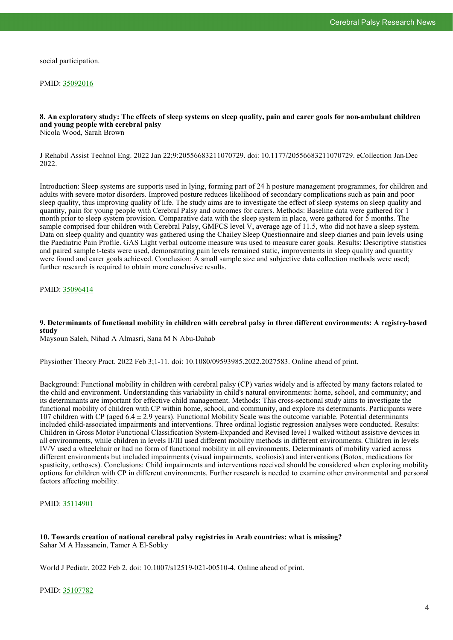social participation.

PMID: [35092016](https://pubmed.ncbi.nlm.nih.gov/35092016)

#### **8. An exploratory study: The effects of sleep systems on sleep quality, pain and carer goals for non-ambulant children and young people with cerebral palsy** Nicola Wood, Sarah Brown

J Rehabil Assist Technol Eng. 2022 Jan 22;9:20556683211070729. doi: 10.1177/20556683211070729. eCollection Jan-Dec 2022.

Introduction: Sleep systems are supports used in lying, forming part of 24 h posture management programmes, for children and adults with severe motor disorders. Improved posture reduces likelihood of secondary complications such as pain and poor sleep quality, thus improving quality of life. The study aims are to investigate the effect of sleep systems on sleep quality and quantity, pain for young people with Cerebral Palsy and outcomes for carers. Methods: Baseline data were gathered for 1 month prior to sleep system provision. Comparative data with the sleep system in place, were gathered for 5 months. The sample comprised four children with Cerebral Palsy, GMFCS level V, average age of 11.5, who did not have a sleep system. Data on sleep quality and quantity was gathered using the Chailey Sleep Questionnaire and sleep diaries and pain levels using the Paediatric Pain Profile. GAS Light verbal outcome measure was used to measure carer goals. Results: Descriptive statistics and paired sample t-tests were used, demonstrating pain levels remained static, improvements in sleep quality and quantity were found and carer goals achieved. Conclusion: A small sample size and subjective data collection methods were used; further research is required to obtain more conclusive results.

PMID: [35096414](https://pubmed.ncbi.nlm.nih.gov/35096414)

# **9. Determinants of functional mobility in children with cerebral palsy in three different environments: A registry-based study**

Maysoun Saleh, Nihad A Almasri, Sana M N Abu-Dahab

Physiother Theory Pract. 2022 Feb 3;1-11. doi: 10.1080/09593985.2022.2027583. Online ahead of print.

Background: Functional mobility in children with cerebral palsy (CP) varies widely and is affected by many factors related to the child and environment. Understanding this variability in child's natural environments: home, school, and community; and its determinants are important for effective child management. Methods: This cross-sectional study aims to investigate the functional mobility of children with CP within home, school, and community, and explore its determinants. Participants were 107 children with CP (aged  $6.4 \pm 2.9$  years). Functional Mobility Scale was the outcome variable. Potential determinants included child-associated impairments and interventions. Three ordinal logistic regression analyses were conducted. Results: Children in Gross Motor Functional Classification System-Expanded and Revised level I walked without assistive devices in all environments, while children in levels II/III used different mobility methods in different environments. Children in levels IV/V used a wheelchair or had no form of functional mobility in all environments. Determinants of mobility varied across different environments but included impairments (visual impairments, scoliosis) and interventions (Botox, medications for spasticity, orthoses). Conclusions: Child impairments and interventions received should be considered when exploring mobility options for children with CP in different environments. Further research is needed to examine other environmental and personal factors affecting mobility.

PMID: [35114901](https://pubmed.ncbi.nlm.nih.gov/35114901)

# **10. Towards creation of national cerebral palsy registries in Arab countries: what is missing?** Sahar M A Hassanein, Tamer A El-Sobky

World J Pediatr. 2022 Feb 2. doi: 10.1007/s12519-021-00510-4. Online ahead of print.

# PMID: [35107782](https://pubmed.ncbi.nlm.nih.gov/35107782)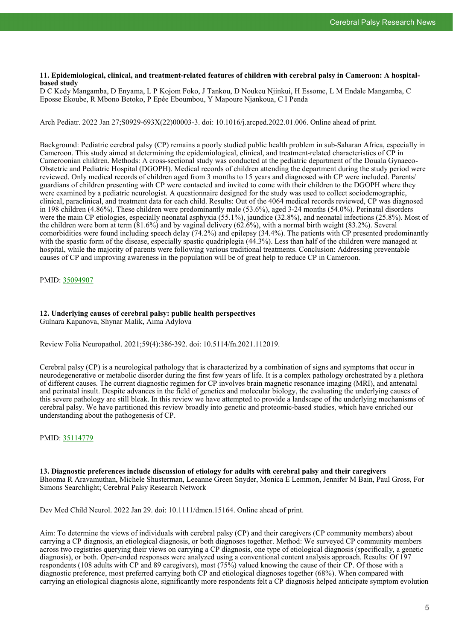#### **11. Epidemiological, clinical, and treatment-related features of children with cerebral palsy in Cameroon: A hospitalbased study**

D C Kedy Mangamba, D Enyama, L P Kojom Foko, J Tankou, D Noukeu Njinkui, H Essome, L M Endale Mangamba, C Eposse Ekoube, R Mbono Betoko, P Epée Eboumbou, Y Mapoure Njankoua, C I Penda

Arch Pediatr. 2022 Jan 27;S0929-693X(22)00003-3. doi: 10.1016/j.arcped.2022.01.006. Online ahead of print.

Background: Pediatric cerebral palsy (CP) remains a poorly studied public health problem in sub-Saharan Africa, especially in Cameroon. This study aimed at determining the epidemiological, clinical, and treatment-related characteristics of CP in Cameroonian children. Methods: A cross-sectional study was conducted at the pediatric department of the Douala Gynaeco-Obstetric and Pediatric Hospital (DGOPH). Medical records of children attending the department during the study period were reviewed. Only medical records of children aged from 3 months to 15 years and diagnosed with CP were included. Parents/ guardians of children presenting with CP were contacted and invited to come with their children to the DGOPH where they were examined by a pediatric neurologist. A questionnaire designed for the study was used to collect sociodemographic, clinical, paraclinical, and treatment data for each child. Results: Out of the 4064 medical records reviewed, CP was diagnosed in 198 children (4.86%). These children were predominantly male (53.6%), aged 3-24 months (54.0%). Perinatal disorders were the main CP etiologies, especially neonatal asphyxia (55.1%), jaundice (32.8%), and neonatal infections (25.8%). Most of the children were born at term (81.6%) and by vaginal delivery (62.6%), with a normal birth weight (83.2%). Several comorbidities were found including speech delay (74.2%) and epilepsy (34.4%). The patients with CP presented predominantly with the spastic form of the disease, especially spastic quadriplegia (44.3%). Less than half of the children were managed at hospital, while the majority of parents were following various traditional treatments. Conclusion: Addressing preventable causes of CP and improving awareness in the population will be of great help to reduce CP in Cameroon.

PMID: [35094907](https://pubmed.ncbi.nlm.nih.gov/35094907)

# **12. Underlying causes of cerebral palsy: public health perspectives**

Gulnara Kapanova, Shynar Malik, Aima Adylova

Review Folia Neuropathol. 2021;59(4):386-392. doi: 10.5114/fn.2021.112019.

Cerebral palsy (CP) is a neurological pathology that is characterized by a combination of signs and symptoms that occur in neurodegenerative or metabolic disorder during the first few years of life. It is a complex pathology orchestrated by a plethora of different causes. The current diagnostic regimen for CP involves brain magnetic resonance imaging (MRI), and antenatal and perinatal insult. Despite advances in the field of genetics and molecular biology, the evaluating the underlying causes of this severe pathology are still bleak. In this review we have attempted to provide a landscape of the underlying mechanisms of cerebral palsy. We have partitioned this review broadly into genetic and proteomic-based studies, which have enriched our understanding about the pathogenesis of CP.

# PMID: [35114779](https://pubmed.ncbi.nlm.nih.gov/35114779)

**13. Diagnostic preferences include discussion of etiology for adults with cerebral palsy and their caregivers** Bhooma R Aravamuthan, Michele Shusterman, Leeanne Green Snyder, Monica E Lemmon, Jennifer M Bain, Paul Gross, For Simons Searchlight; Cerebral Palsy Research Network

Dev Med Child Neurol. 2022 Jan 29. doi: 10.1111/dmcn.15164. Online ahead of print.

Aim: To determine the views of individuals with cerebral palsy (CP) and their caregivers (CP community members) about carrying a CP diagnosis, an etiological diagnosis, or both diagnoses together. Method: We surveyed CP community members across two registries querying their views on carrying a CP diagnosis, one type of etiological diagnosis (specifically, a genetic diagnosis), or both. Open-ended responses were analyzed using a conventional content analysis approach. Results: Of 197 respondents (108 adults with CP and 89 caregivers), most (75%) valued knowing the cause of their CP. Of those with a diagnostic preference, most preferred carrying both CP and etiological diagnoses together (68%). When compared with carrying an etiological diagnosis alone, significantly more respondents felt a CP diagnosis helped anticipate symptom evolution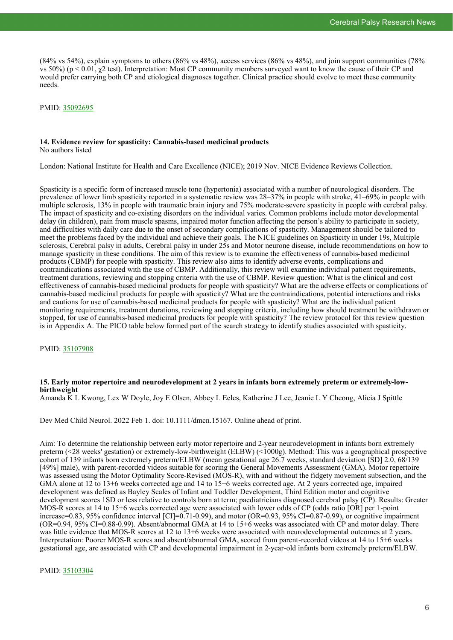(84% vs 54%), explain symptoms to others (86% vs 48%), access services (86% vs 48%), and join support communities (78% vs 50%) (p < 0.01, χ2 test). Interpretation: Most CP community members surveyed want to know the cause of their CP and would prefer carrying both CP and etiological diagnoses together. Clinical practice should evolve to meet these community needs.

PMID: [35092695](https://pubmed.ncbi.nlm.nih.gov/35092695)

# **14. Evidence review for spasticity: Cannabis-based medicinal products**

No authors listed

London: National Institute for Health and Care Excellence (NICE); 2019 Nov. NICE Evidence Reviews Collection.

Spasticity is a specific form of increased muscle tone (hypertonia) associated with a number of neurological disorders. The prevalence of lower limb spasticity reported in a systematic review was 28–37% in people with stroke, 41–69% in people with multiple sclerosis, 13% in people with traumatic brain injury and 75% moderate-severe spasticity in people with cerebral palsy. The impact of spasticity and co-existing disorders on the individual varies. Common problems include motor developmental delay (in children), pain from muscle spasms, impaired motor function affecting the person's ability to participate in society, and difficulties with daily care due to the onset of secondary complications of spasticity. Management should be tailored to meet the problems faced by the individual and achieve their goals. The NICE guidelines on Spasticity in under 19s, Multiple sclerosis, Cerebral palsy in adults, Cerebral palsy in under 25s and Motor neurone disease, include recommendations on how to manage spasticity in these conditions. The aim of this review is to examine the effectiveness of cannabis-based medicinal products (CBMP) for people with spasticity. This review also aims to identify adverse events, complications and contraindications associated with the use of CBMP. Additionally, this review will examine individual patient requirements, treatment durations, reviewing and stopping criteria with the use of CBMP. Review question: What is the clinical and cost effectiveness of cannabis-based medicinal products for people with spasticity? What are the adverse effects or complications of cannabis-based medicinal products for people with spasticity? What are the contraindications, potential interactions and risks and cautions for use of cannabis-based medicinal products for people with spasticity? What are the individual patient monitoring requirements, treatment durations, reviewing and stopping criteria, including how should treatment be withdrawn or stopped, for use of cannabis-based medicinal products for people with spasticity? The review protocol for this review question is in Appendix A. The PICO table below formed part of the search strategy to identify studies associated with spasticity.

PMID: [35107908](https://pubmed.ncbi.nlm.nih.gov/35107908)

# **15. Early motor repertoire and neurodevelopment at 2 years in infants born extremely preterm or extremely-lowbirthweight**

Amanda K L Kwong, Lex W Doyle, Joy E Olsen, Abbey L Eeles, Katherine J Lee, Jeanie L Y Cheong, Alicia J Spittle

Dev Med Child Neurol. 2022 Feb 1. doi: 10.1111/dmcn.15167. Online ahead of print.

Aim: To determine the relationship between early motor repertoire and 2-year neurodevelopment in infants born extremely preterm (<28 weeks' gestation) or extremely-low-birthweight (ELBW) (<1000g). Method: This was a geographical prospective cohort of 139 infants born extremely preterm/ELBW (mean gestational age 26.7 weeks, standard deviation [SD] 2.0, 68/139 [49%] male), with parent-recorded videos suitable for scoring the General Movements Assessment (GMA). Motor repertoire was assessed using the Motor Optimality Score-Revised (MOS-R), with and without the fidgety movement subsection, and the GMA alone at 12 to 13+6 weeks corrected age and 14 to 15+6 weeks corrected age. At 2 years corrected age, impaired development was defined as Bayley Scales of Infant and Toddler Development, Third Edition motor and cognitive development scores 1SD or less relative to controls born at term; paediatricians diagnosed cerebral palsy (CP). Results: Greater MOS-R scores at 14 to 15+6 weeks corrected age were associated with lower odds of CP (odds ratio [OR] per 1-point increase=0.83, 95% confidence interval [CI]=0.71-0.99), and motor (OR=0.93, 95% CI=0.87-0.99), or cognitive impairment (OR=0.94, 95% CI=0.88-0.99). Absent/abnormal GMA at 14 to 15+6 weeks was associated with CP and motor delay. There was little evidence that MOS-R scores at 12 to 13+6 weeks were associated with neurodevelopmental outcomes at 2 years. Interpretation: Poorer MOS-R scores and absent/abnormal GMA, scored from parent-recorded videos at 14 to 15+6 weeks gestational age, are associated with CP and developmental impairment in 2-year-old infants born extremely preterm/ELBW.

PMID: [35103304](https://pubmed.ncbi.nlm.nih.gov/35103304)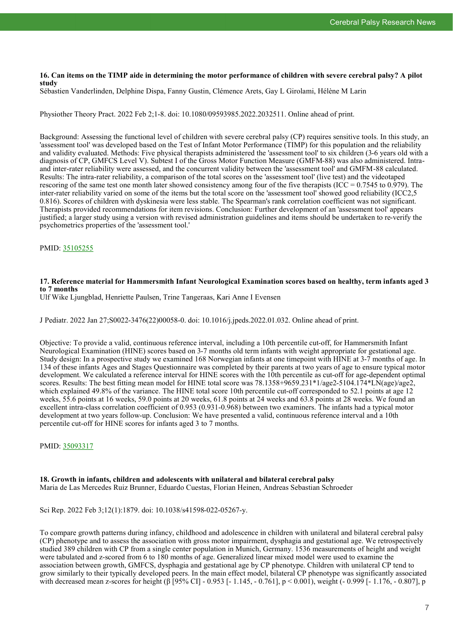#### **16. Can items on the TIMP aide in determining the motor performance of children with severe cerebral palsy? A pilot study**

Sébastien Vanderlinden, Delphine Dispa, Fanny Gustin, Clémence Arets, Gay L Girolami, Hélène M Larin

Physiother Theory Pract. 2022 Feb 2;1-8. doi: 10.1080/09593985.2022.2032511. Online ahead of print.

Background: Assessing the functional level of children with severe cerebral palsy (CP) requires sensitive tools. In this study, an 'assessment tool' was developed based on the Test of Infant Motor Performance (TIMP) for this population and the reliability and validity evaluated. Methods: Five physical therapists administered the 'assessment tool' to six children (3-6 years old with a diagnosis of CP, GMFCS Level V). Subtest I of the Gross Motor Function Measure (GMFM-88) was also administered. Intraand inter-rater reliability were assessed, and the concurrent validity between the 'assessment tool' and GMFM-88 calculated. Results: The intra-rater reliability, a comparison of the total scores on the 'assessment tool' (live test) and the videotaped rescoring of the same test one month later showed consistency among four of the five therapists (ICC =  $0.7545$  to  $0.979$ ). The inter-rater reliability varied on some of the items but the total score on the 'assessment tool' showed good reliability (ICC2,5 0.816). Scores of children with dyskinesia were less stable. The Spearman's rank correlation coefficient was not significant. Therapists provided recommendations for item revisions. Conclusion: Further development of an 'assessment tool' appears justified; a larger study using a version with revised administration guidelines and items should be undertaken to re-verify the psychometrics properties of the 'assessment tool.'

PMID: [35105255](https://pubmed.ncbi.nlm.nih.gov/35105255)

# **17. Reference material for Hammersmith Infant Neurological Examination scores based on healthy, term infants aged 3 to 7 months**

Ulf Wike Ljungblad, Henriette Paulsen, Trine Tangeraas, Kari Anne I Evensen

J Pediatr. 2022 Jan 27;S0022-3476(22)00058-0. doi: 10.1016/j.jpeds.2022.01.032. Online ahead of print.

Objective: To provide a valid, continuous reference interval, including a 10th percentile cut-off, for Hammersmith Infant Neurological Examination (HINE) scores based on 3-7 months old term infants with weight appropriate for gestational age. Study design: In a prospective study we examined 168 Norwegian infants at one timepoint with HINE at 3-7 months of age. In 134 of these infants Ages and Stages Questionnaire was completed by their parents at two years of age to ensure typical motor development. We calculated a reference interval for HINE scores with the 10th percentile as cut-off for age-dependent optimal scores. Results: The best fitting mean model for HINE total score was  $78.1358+9659.231*1/age2-5104.174*LN(age)/age2$ , which explained 49.8% of the variance. The HINE total score 10th percentile cut-off corresponded to 52.1 points at age 12 weeks, 55.6 points at 16 weeks, 59.0 points at 20 weeks, 61.8 points at 24 weeks and 63.8 points at 28 weeks. We found an excellent intra-class correlation coefficient of 0.953 (0.931-0.968) between two examiners. The infants had a typical motor development at two years follow-up. Conclusion: We have presented a valid, continuous reference interval and a 10th percentile cut-off for HINE scores for infants aged 3 to 7 months.

PMID: [35093317](https://pubmed.ncbi.nlm.nih.gov/35093317)

## **18. Growth in infants, children and adolescents with unilateral and bilateral cerebral palsy** Maria de Las Mercedes Ruiz Brunner, Eduardo Cuestas, Florian Heinen, Andreas Sebastian Schroeder

Sci Rep. 2022 Feb 3;12(1):1879. doi: 10.1038/s41598-022-05267-y.

To compare growth patterns during infancy, childhood and adolescence in children with unilateral and bilateral cerebral palsy (CP) phenotype and to assess the association with gross motor impairment, dysphagia and gestational age. We retrospectively studied 389 children with CP from a single center population in Munich, Germany. 1536 measurements of height and weight were tabulated and z-scored from 6 to 180 months of age. Generalized linear mixed model were used to examine the association between growth, GMFCS, dysphagia and gestational age by CP phenotype. Children with unilateral CP tend to grow similarly to their typically developed peers. In the main effect model, bilateral CP phenotype was significantly associated with decreased mean z-scores for height (β [95% CI] - 0.953 [- 1.145, - 0.761], p < 0.001), weight (- 0.999 [- 1.176, - 0.807], p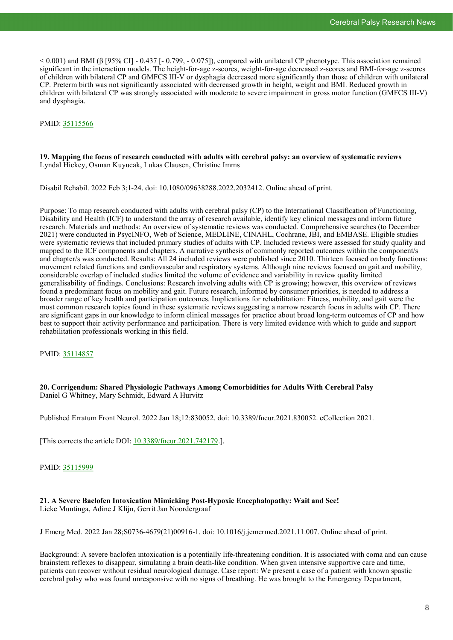$< 0.001$ ) and BMI (β [95% CI] - 0.437 [- 0.799, - 0.075]), compared with unilateral CP phenotype. This association remained significant in the interaction models. The height-for-age z-scores, weight-for-age decreased z-scores and BMI-for-age z-scores of children with bilateral CP and GMFCS III-V or dysphagia decreased more significantly than those of children with unilateral CP. Preterm birth was not significantly associated with decreased growth in height, weight and BMI. Reduced growth in children with bilateral CP was strongly associated with moderate to severe impairment in gross motor function (GMFCS III-V) and dysphagia.

# PMID: [35115566](https://pubmed.ncbi.nlm.nih.gov/35115566)

# **19. Mapping the focus of research conducted with adults with cerebral palsy: an overview of systematic reviews** Lyndal Hickey, Osman Kuyucak, Lukas Clausen, Christine Imms

Disabil Rehabil. 2022 Feb 3;1-24. doi: 10.1080/09638288.2022.2032412. Online ahead of print.

Purpose: To map research conducted with adults with cerebral palsy (CP) to the International Classification of Functioning, Disability and Health (ICF) to understand the array of research available, identify key clinical messages and inform future research. Materials and methods: An overview of systematic reviews was conducted. Comprehensive searches (to December 2021) were conducted in PsycINFO, Web of Science, MEDLINE, CINAHL, Cochrane, JBI, and EMBASE. Eligible studies were systematic reviews that included primary studies of adults with CP. Included reviews were assessed for study quality and mapped to the ICF components and chapters. A narrative synthesis of commonly reported outcomes within the component/s and chapter/s was conducted. Results: All 24 included reviews were published since 2010. Thirteen focused on body functions: movement related functions and cardiovascular and respiratory systems. Although nine reviews focused on gait and mobility, considerable overlap of included studies limited the volume of evidence and variability in review quality limited generalisability of findings. Conclusions: Research involving adults with CP is growing; however, this overview of reviews found a predominant focus on mobility and gait. Future research, informed by consumer priorities, is needed to address a broader range of key health and participation outcomes. Implications for rehabilitation: Fitness, mobility, and gait were the most common research topics found in these systematic reviews suggesting a narrow research focus in adults with CP. There are significant gaps in our knowledge to inform clinical messages for practice about broad long-term outcomes of CP and how best to support their activity performance and participation. There is very limited evidence with which to guide and support rehabilitation professionals working in this field.

PMID: [35114857](https://pubmed.ncbi.nlm.nih.gov/35114857)

# **20. Corrigendum: Shared Physiologic Pathways Among Comorbidities for Adults With Cerebral Palsy** Daniel G Whitney, Mary Schmidt, Edward A Hurvitz

Published Erratum Front Neurol. 2022 Jan 18;12:830052. doi: 10.3389/fneur.2021.830052. eCollection 2021.

[This corrects the article DOI: [10.3389/fneur.2021.742179.](https://www.frontiersin.org/articles/10.3389/fneur.2021.742179/full)].

PMID: [35115999](https://pubmed.ncbi.nlm.nih.gov/35115999)

# **21. A Severe Baclofen Intoxication Mimicking Post-Hypoxic Encephalopathy: Wait and See!** Lieke Muntinga, Adine J Klijn, Gerrit Jan Noordergraaf

J Emerg Med. 2022 Jan 28;S0736-4679(21)00916-1. doi: 10.1016/j.jemermed.2021.11.007. Online ahead of print.

Background: A severe baclofen intoxication is a potentially life-threatening condition. It is associated with coma and can cause brainstem reflexes to disappear, simulating a brain death-like condition. When given intensive supportive care and time, patients can recover without residual neurological damage. Case report: We present a case of a patient with known spastic cerebral palsy who was found unresponsive with no signs of breathing. He was brought to the Emergency Department,